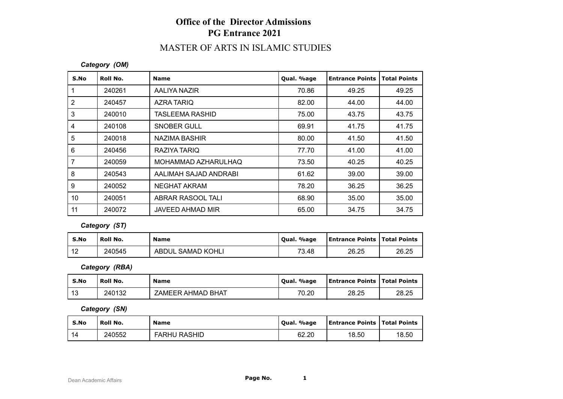# **Office of the Director Admissions PG Entrance 2021**

# MASTER OF ARTS IN ISLAMIC STUDIES

#### *Category (OM)*

| S.No           | Roll No. | <b>Name</b>            | Qual. %age | <b>Entrance Points</b> | <b>Total Points</b> |
|----------------|----------|------------------------|------------|------------------------|---------------------|
|                | 240261   | AALIYA NAZIR           | 70.86      | 49.25                  | 49.25               |
| 2              | 240457   | AZRA TARIQ             | 82.00      | 44.00                  | 44.00               |
| 3              | 240010   | <b>TASLEEMA RASHID</b> | 75.00      | 43.75                  | 43.75               |
| 4              | 240108   | <b>SNOBER GULL</b>     | 69.91      | 41.75                  | 41.75               |
| 5              | 240018   | NAZIMA BASHIR          | 80.00      | 41.50                  | 41.50               |
| 6              | 240456   | RAZIYA TARIQ           | 77.70      | 41.00                  | 41.00               |
| $\overline{7}$ | 240059   | MOHAMMAD AZHARULHAQ    | 73.50      | 40.25                  | 40.25               |
| 8              | 240543   | AALIMAH SAJAD ANDRABI  | 61.62      | 39.00                  | 39.00               |
| 9              | 240052   | NEGHAT AKRAM           | 78.20      | 36.25                  | 36.25               |
| 10             | 240051   | ABRAR RASOOL TALI      | 68.90      | 35.00                  | 35.00               |
| 11             | 240072   | JAVEED AHMAD MIR       | 65.00      | 34.75                  | 34.75               |

### *Category (ST)*

| S.No                   | Roll No. | <b>Name</b>       | Qual. %age | <b>Entrance Points   Total Points</b> |       |
|------------------------|----------|-------------------|------------|---------------------------------------|-------|
| $\overline{10}$<br>1 L | 240545   | ABDUL SAMAD KOHLI | 73.48      | 26.25                                 | 26.25 |

*Category (RBA)*

| S.No         | Roll No. | <b>Name</b>       | Qual. %age | <b>Entrance Points   Total Points</b> |       |
|--------------|----------|-------------------|------------|---------------------------------------|-------|
| - 1 2<br>د ا | 240132   | ZAMEER AHMAD BHAT | 70.20      | 28.25                                 | 28.25 |

*Category (SN)*

| S.No | Roll No. | <b>Name</b>         | Qual. %age | <b>Entrance Points   Total Points</b> |       |
|------|----------|---------------------|------------|---------------------------------------|-------|
| -14  | 240552   | <b>FARHU RASHID</b> | 62.20      | 18.50                                 | 18.50 |